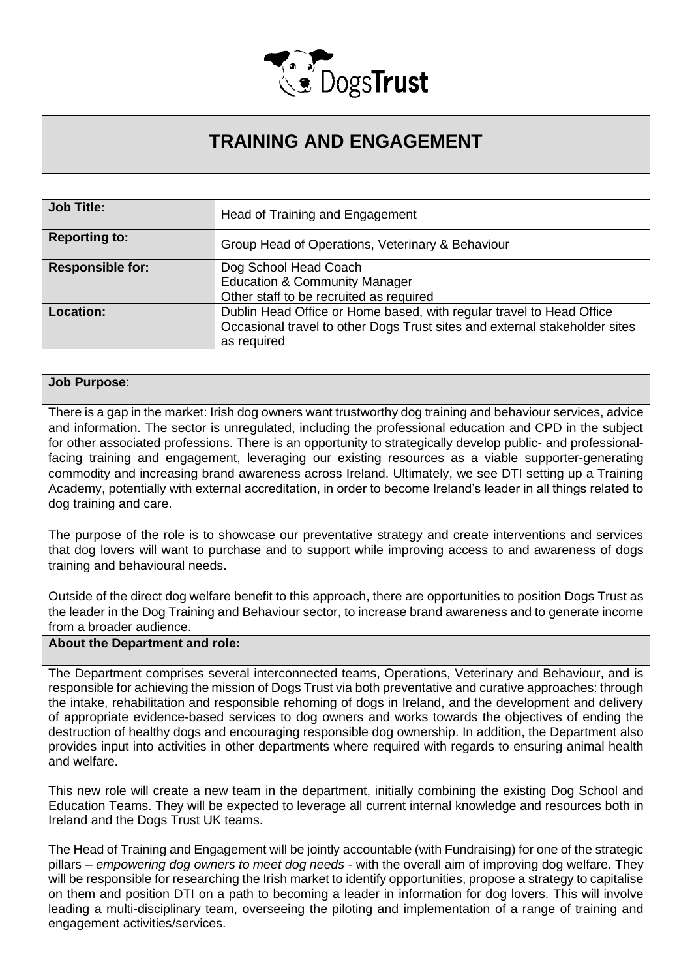

## **TRAINING AND ENGAGEMENT**

| <b>Job Title:</b>       | Head of Training and Engagement                                                                                                                                   |
|-------------------------|-------------------------------------------------------------------------------------------------------------------------------------------------------------------|
| <b>Reporting to:</b>    | Group Head of Operations, Veterinary & Behaviour                                                                                                                  |
| <b>Responsible for:</b> | Dog School Head Coach<br><b>Education &amp; Community Manager</b><br>Other staff to be recruited as required                                                      |
| Location:               | Dublin Head Office or Home based, with regular travel to Head Office<br>Occasional travel to other Dogs Trust sites and external stakeholder sites<br>as required |

## **Job Purpose**:

There is a gap in the market: Irish dog owners want trustworthy dog training and behaviour services, advice and information. The sector is unregulated, including the professional education and CPD in the subject for other associated professions. There is an opportunity to strategically develop public- and professionalfacing training and engagement, leveraging our existing resources as a viable supporter-generating commodity and increasing brand awareness across Ireland. Ultimately, we see DTI setting up a Training Academy, potentially with external accreditation, in order to become Ireland's leader in all things related to dog training and care.

The purpose of the role is to showcase our preventative strategy and create interventions and services that dog lovers will want to purchase and to support while improving access to and awareness of dogs training and behavioural needs.

Outside of the direct dog welfare benefit to this approach, there are opportunities to position Dogs Trust as the leader in the Dog Training and Behaviour sector, to increase brand awareness and to generate income from a broader audience.

## **About the Department and role:**

The Department comprises several interconnected teams, Operations, Veterinary and Behaviour, and is responsible for achieving the mission of Dogs Trust via both preventative and curative approaches: through the intake, rehabilitation and responsible rehoming of dogs in Ireland, and the development and delivery of appropriate evidence-based services to dog owners and works towards the objectives of ending the destruction of healthy dogs and encouraging responsible dog ownership. In addition, the Department also provides input into activities in other departments where required with regards to ensuring animal health and welfare.

This new role will create a new team in the department, initially combining the existing Dog School and Education Teams. They will be expected to leverage all current internal knowledge and resources both in Ireland and the Dogs Trust UK teams.

The Head of Training and Engagement will be jointly accountable (with Fundraising) for one of the strategic pillars – *empowering dog owners to meet dog needs* - with the overall aim of improving dog welfare. They will be responsible for researching the Irish market to identify opportunities, propose a strategy to capitalise on them and position DTI on a path to becoming a leader in information for dog lovers. This will involve leading a multi-disciplinary team, overseeing the piloting and implementation of a range of training and engagement activities/services.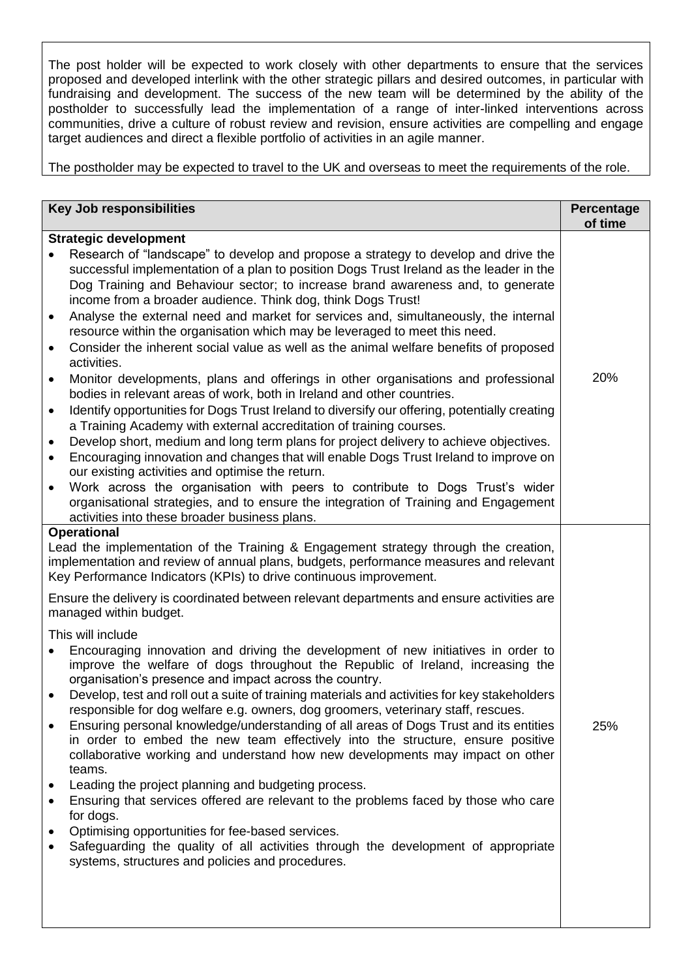The post holder will be expected to work closely with other departments to ensure that the services proposed and developed interlink with the other strategic pillars and desired outcomes, in particular with fundraising and development. The success of the new team will be determined by the ability of the postholder to successfully lead the implementation of a range of inter-linked interventions across communities, drive a culture of robust review and revision, ensure activities are compelling and engage target audiences and direct a flexible portfolio of activities in an agile manner.

The postholder may be expected to travel to the UK and overseas to meet the requirements of the role.

| <b>Key Job responsibilities</b>                                                                                                                                                                                                                                                                                                                                                                                                                                                                                                                                                                                                                                                                                                                                                                                                                                                                                                                                                                                                                                                                                                                                                                                                                                                                                                                                                                                                                                                                                                                          | Percentage<br>of time |
|----------------------------------------------------------------------------------------------------------------------------------------------------------------------------------------------------------------------------------------------------------------------------------------------------------------------------------------------------------------------------------------------------------------------------------------------------------------------------------------------------------------------------------------------------------------------------------------------------------------------------------------------------------------------------------------------------------------------------------------------------------------------------------------------------------------------------------------------------------------------------------------------------------------------------------------------------------------------------------------------------------------------------------------------------------------------------------------------------------------------------------------------------------------------------------------------------------------------------------------------------------------------------------------------------------------------------------------------------------------------------------------------------------------------------------------------------------------------------------------------------------------------------------------------------------|-----------------------|
| <b>Strategic development</b><br>Research of "landscape" to develop and propose a strategy to develop and drive the<br>$\bullet$<br>successful implementation of a plan to position Dogs Trust Ireland as the leader in the<br>Dog Training and Behaviour sector; to increase brand awareness and, to generate<br>income from a broader audience. Think dog, think Dogs Trust!<br>Analyse the external need and market for services and, simultaneously, the internal<br>$\bullet$<br>resource within the organisation which may be leveraged to meet this need.<br>Consider the inherent social value as well as the animal welfare benefits of proposed<br>$\bullet$<br>activities.<br>Monitor developments, plans and offerings in other organisations and professional<br>$\bullet$<br>bodies in relevant areas of work, both in Ireland and other countries.<br>Identify opportunities for Dogs Trust Ireland to diversify our offering, potentially creating<br>$\bullet$<br>a Training Academy with external accreditation of training courses.<br>Develop short, medium and long term plans for project delivery to achieve objectives.<br>$\bullet$<br>Encouraging innovation and changes that will enable Dogs Trust Ireland to improve on<br>$\bullet$<br>our existing activities and optimise the return.<br>Work across the organisation with peers to contribute to Dogs Trust's wider<br>$\bullet$<br>organisational strategies, and to ensure the integration of Training and Engagement<br>activities into these broader business plans. | 20%                   |
| <b>Operational</b><br>Lead the implementation of the Training & Engagement strategy through the creation,<br>implementation and review of annual plans, budgets, performance measures and relevant<br>Key Performance Indicators (KPIs) to drive continuous improvement.<br>Ensure the delivery is coordinated between relevant departments and ensure activities are<br>managed within budget.<br>This will include<br>Encouraging innovation and driving the development of new initiatives in order to<br>improve the welfare of dogs throughout the Republic of Ireland, increasing the<br>organisation's presence and impact across the country.<br>Develop, test and roll out a suite of training materials and activities for key stakeholders<br>$\bullet$<br>responsible for dog welfare e.g. owners, dog groomers, veterinary staff, rescues.<br>Ensuring personal knowledge/understanding of all areas of Dogs Trust and its entities<br>in order to embed the new team effectively into the structure, ensure positive<br>collaborative working and understand how new developments may impact on other<br>teams.<br>Leading the project planning and budgeting process.<br>٠<br>Ensuring that services offered are relevant to the problems faced by those who care<br>$\bullet$<br>for dogs.<br>Optimising opportunities for fee-based services.<br>٠<br>Safeguarding the quality of all activities through the development of appropriate<br>$\bullet$<br>systems, structures and policies and procedures.                                | 25%                   |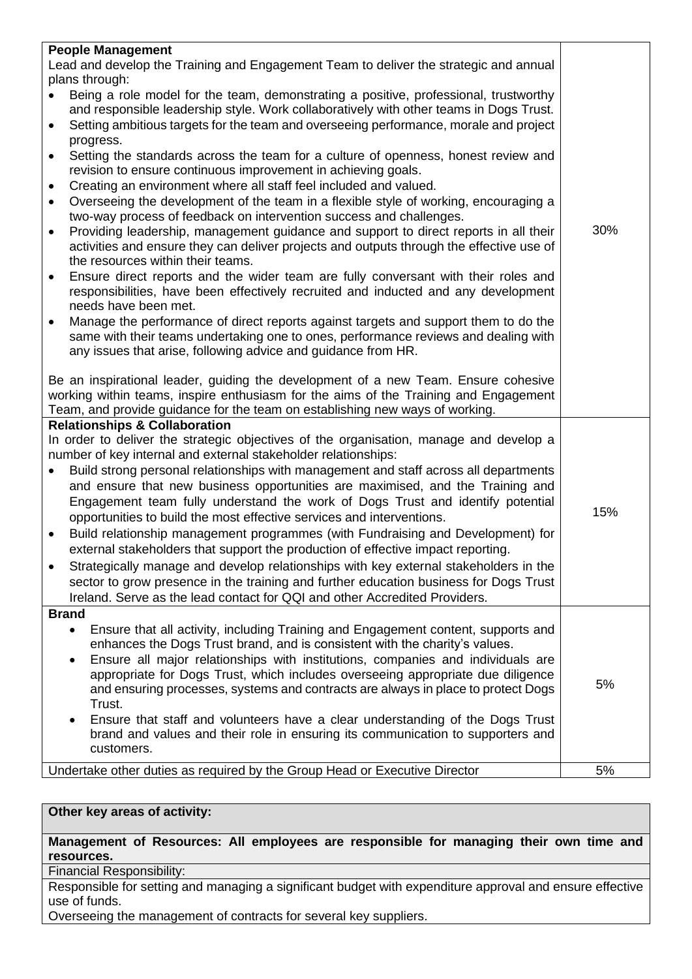| <b>People Management</b>                                                                           |     |  |
|----------------------------------------------------------------------------------------------------|-----|--|
| Lead and develop the Training and Engagement Team to deliver the strategic and annual              |     |  |
| plans through:                                                                                     |     |  |
| Being a role model for the team, demonstrating a positive, professional, trustworthy               |     |  |
| and responsible leadership style. Work collaboratively with other teams in Dogs Trust.             |     |  |
| Setting ambitious targets for the team and overseeing performance, morale and project<br>$\bullet$ |     |  |
| progress.                                                                                          |     |  |
| Setting the standards across the team for a culture of openness, honest review and<br>$\bullet$    |     |  |
| revision to ensure continuous improvement in achieving goals.                                      |     |  |
| Creating an environment where all staff feel included and valued.<br>$\bullet$                     |     |  |
| Overseeing the development of the team in a flexible style of working, encouraging a<br>$\bullet$  |     |  |
| two-way process of feedback on intervention success and challenges.                                |     |  |
| Providing leadership, management guidance and support to direct reports in all their<br>$\bullet$  | 30% |  |
| activities and ensure they can deliver projects and outputs through the effective use of           |     |  |
| the resources within their teams.                                                                  |     |  |
| Ensure direct reports and the wider team are fully conversant with their roles and                 |     |  |
| responsibilities, have been effectively recruited and inducted and any development                 |     |  |
| needs have been met.                                                                               |     |  |
| Manage the performance of direct reports against targets and support them to do the<br>$\bullet$   |     |  |
| same with their teams undertaking one to ones, performance reviews and dealing with                |     |  |
| any issues that arise, following advice and guidance from HR.                                      |     |  |
|                                                                                                    |     |  |
| Be an inspirational leader, guiding the development of a new Team. Ensure cohesive                 |     |  |
| working within teams, inspire enthusiasm for the aims of the Training and Engagement               |     |  |
| Team, and provide guidance for the team on establishing new ways of working.                       |     |  |
| <b>Relationships &amp; Collaboration</b>                                                           |     |  |
| In order to deliver the strategic objectives of the organisation, manage and develop a             |     |  |
| number of key internal and external stakeholder relationships:                                     |     |  |
| Build strong personal relationships with management and staff across all departments               |     |  |
| and ensure that new business opportunities are maximised, and the Training and                     |     |  |
| Engagement team fully understand the work of Dogs Trust and identify potential                     |     |  |
| opportunities to build the most effective services and interventions.                              | 15% |  |
|                                                                                                    |     |  |
| Build relationship management programmes (with Fundraising and Development) for<br>$\bullet$       |     |  |
| external stakeholders that support the production of effective impact reporting.                   |     |  |
| Strategically manage and develop relationships with key external stakeholders in the               |     |  |
| sector to grow presence in the training and further education business for Dogs Trust              |     |  |
| Ireland. Serve as the lead contact for QQI and other Accredited Providers.                         |     |  |
| <b>Brand</b>                                                                                       |     |  |
| Ensure that all activity, including Training and Engagement content, supports and<br>$\bullet$     |     |  |
| enhances the Dogs Trust brand, and is consistent with the charity's values.                        |     |  |
| Ensure all major relationships with institutions, companies and individuals are<br>$\bullet$       |     |  |
| appropriate for Dogs Trust, which includes overseeing appropriate due diligence                    | 5%  |  |
| and ensuring processes, systems and contracts are always in place to protect Dogs                  |     |  |
| Trust.                                                                                             |     |  |
| Ensure that staff and volunteers have a clear understanding of the Dogs Trust<br>$\bullet$         |     |  |
| brand and values and their role in ensuring its communication to supporters and                    |     |  |
| customers.                                                                                         |     |  |
| Undertake other duties as required by the Group Head or Executive Director                         | 5%  |  |
|                                                                                                    |     |  |

## **Other key areas of activity:**

**Management of Resources: All employees are responsible for managing their own time and resources.** 

Financial Responsibility:

Responsible for setting and managing a significant budget with expenditure approval and ensure effective use of funds.

Overseeing the management of contracts for several key suppliers.